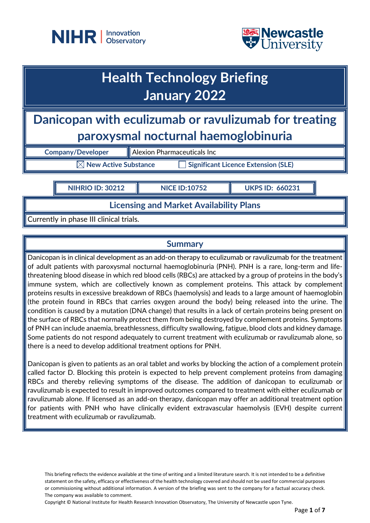



## **Health Technology Briefing January 2022**

**Danicopan with eculizumab or ravulizumab for treating paroxysmal nocturnal haemoglobinuria**

**Company/Developer Alexion Pharmaceuticals Inc** 

**New Active Substance Interaction Significant Licence Extension (SLE)** 

**NIHRIO ID: 30212 NICE ID:10752 UKPS ID: 660231**

**Licensing and Market Availability Plans**

Currently in phase III clinical trials.

## **Summary**

Danicopan is in clinical development as an add-on therapy to eculizumab or ravulizumab for the treatment of adult patients with paroxysmal nocturnal haemoglobinuria (PNH). PNH is a rare, long-term and lifethreatening blood disease in which red blood cells (RBCs) are attacked by a group of proteins in the body's immune system, which are collectively known as complement proteins. This attack by complement proteins results in excessive breakdown of RBCs (haemolysis) and leads to a large amount of haemoglobin (the protein found in RBCs that carries oxygen around the body) being released into the urine. The condition is caused by a mutation (DNA change) that results in a lack of certain proteins being present on the surface of RBCs that normally protect them from being destroyed by complement proteins. Symptoms of PNH can include anaemia, breathlessness, difficulty swallowing, fatigue, blood clots and kidney damage. Some patients do not respond adequately to current treatment with eculizumab or ravulizumab alone, so there is a need to develop additional treatment options for PNH.

Danicopan is given to patients as an oral tablet and works by blocking the action of a complement protein called factor D. Blocking this protein is expected to help prevent complement proteins from damaging RBCs and thereby relieving symptoms of the disease. The addition of danicopan to eculizumab or ravulizumab is expected to result in improved outcomes compared to treatment with either eculizumab or ravulizumab alone. If licensed as an add-on therapy, danicopan may offer an additional treatment option for patients with PNH who have clinically evident extravascular haemolysis (EVH) despite current treatment with eculizumab or ravulizumab.

This briefing reflects the evidence available at the time of writing and a limited literature search. It is not intended to be a definitive statement on the safety, efficacy or effectiveness of the health technology covered and should not be used for commercial purposes or commissioning without additional information. A version of the briefing was sent to the company for a factual accuracy check. The company was available to comment.

Copyright © National Institute for Health Research Innovation Observatory, The University of Newcastle upon Tyne.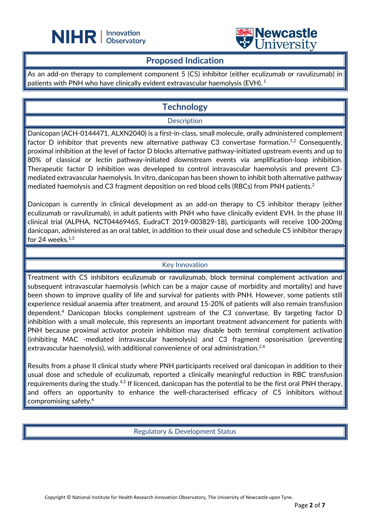



#### **Proposed Indication**

 $\overline{a}$ 

As an add-on therapy to complement component 5 (C5) inhibitor (either eculizumab or ravulizumab) in patients with PNH who have clinically evident extravascular haemolysis (EVH).<sup>1</sup>

## **Technology**

#### **Description**

Danicopan (ACH-0144471, ALXN2040) is a first-in-class, small molecule, orally administered complement factor D inhibitor that prevents new alternative pathway C3 convertase formation.<sup>1,2</sup> Consequently, proximal inhibition at the level of factor D blocks alternative pathway-initiated upstream events and up to 80% of classical or lectin pathway-initiated downstream events via amplification-loop inhibition. Therapeutic factor D inhibition was developed to control intravascular haemolysis and prevent C3 mediated extravascular haemolysis. In vitro, danicopan has been shown to inhibit both alternative pathway mediated haemolysis and C3 fragment deposition on red blood cells (RBCs) from PNH patients.<sup>2</sup>

Danicopan is currently in clinical development as an add-on therapy to C5 inhibitor therapy (either eculizumab or ravulizumab), in adult patients with PNH who have clinically evident EVH. In the phase III clinical trial (ALPHA, NCT04469465, EudraCT 2019-003829-18), participants will receive 100-200mg danicopan, administered as an oral tablet, in addition to their usual dose and schedule C5 inhibitor therapy for 24 weeks. $1,3$ 

#### Key Innovation

Treatment with C5 inhibitors eculizumab or ravulizumab, block terminal complement activation and subsequent intravascular haemolysis (which can be a major cause of morbidity and mortality) and have been shown to improve quality of life and survival for patients with PNH. However, some patients still experience residual anaemia after treatment, and around 15-20% of patients will also remain transfusion dependent.4 Danicopan blocks complement upstream of the C3 convertase. By targeting factor D inhibition with a small molecule, this represents an important treatment advancement for patients with PNH because proximal activator protein inhibition may disable both terminal complement activation (inhibiting MAC -mediated intravascular haemolysis) and C3 fragment opsonisation (preventing extravascular haemolysis), with additional convenience of oral administration.<sup>2,4</sup>

Results from a phase II clinical study where PNH participants received oral danicopan in addition to their usual dose and schedule of eculizumab, reported a clinically meaningful reduction in RBC transfusion requirements during the study.<sup>4,5</sup> If licenced, danicopan has the potential to be the first oral PNH therapy, and offers an opportunity to enhance the well-characterised efficacy of C5 inhibitors without compromising safety.6

Regulatory & Development Status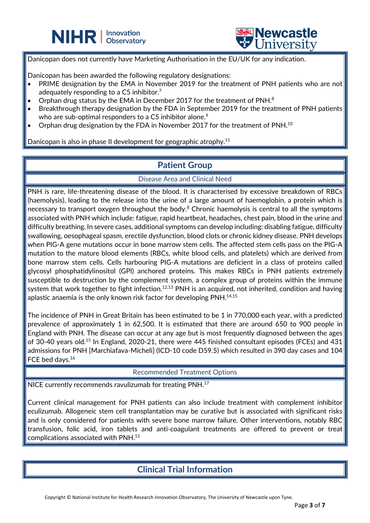



Danicopan does not currently have Marketing Authorisation in the EU/UK for any indication.

Danicopan has been awarded the following regulatory designations:

- PRIME designation by the EMA in November 2019 for the treatment of PNH patients who are not adequately responding to a  $C_5$  inhibitor.<sup>7</sup>
- Orphan drug status by the EMA in December 2017 for the treatment of PNH. $^8$

 $\overline{a}$ 

- Breakthrough therapy designation by the FDA in September 2019 for the treatment of PNH patients who are sub-optimal responders to a C5 inhibitor alone.<sup>9</sup>
- Orphan drug designation by the FDA in November 2017 for the treatment of PNH.10

Danicopan is also in phase II development for geographic atrophy.<sup>11</sup>

#### **Patient Group**

Disease Area and Clinical Need

PNH is rare, life-threatening disease of the blood. It is characterised by excessive breakdown of RBCs (haemolysis), leading to the release into the urine of a large amount of haemoglobin, a protein which is necessary to transport oxygen throughout the body.<sup>8</sup> Chronic haemolysis is central to all the symptoms associated with PNH which include: fatigue, rapid heartbeat, headaches, chest pain, blood in the urine and difficulty breathing. In severe cases, additional symptoms can develop including: disabling fatigue, difficulty swallowing, oesophageal spasm, erectile dysfunction, blood clots or chronic kidney disease. PNH develops when PIG-A gene mutations occur in bone marrow stem cells. The affected stem cells pass on the PIG-A mutation to the mature blood elements (RBCs, white blood cells, and platelets) which are derived from bone marrow stem cells. Cells harbouring PIG-A mutations are deficient in a class of proteins called glycosyl phosphatidylinositol (GPI) anchored proteins. This makes RBCs in PNH patients extremely susceptible to destruction by the complement system, a complex group of proteins within the immune system that work together to fight infection. $^{12,13}$  PNH is an acquired, not inherited, condition and having aplastic anaemia is the only known risk factor for developing PNH. $^{\rm 14,15}$ 

The incidence of PNH in Great Britain has been estimated to be 1 in 770,000 each year, with a predicted prevalence of approximately 1 in 62,500. It is estimated that there are around 650 to 900 people in England with PNH. The disease can occur at any age but is most frequently diagnosed between the ages of 30-40 years old.<sup>15</sup> In England, 2020-21, there were 445 finished consultant episodes (FCEs) and 431 admissions for PNH [Marchiafava-Micheli] (ICD-10 code D59.5) which resulted in 390 day cases and 104 FCE bed days.16

Recommended Treatment Options

NICE currently recommends ravulizumab for treating PNH.<sup>17</sup>

Current clinical management for PNH patients can also include treatment with complement inhibitor eculizumab. Allogeneic stem cell transplantation may be curative but is associated with significant risks and is only considered for patients with severe bone marrow failure. Other interventions, notably RBC transfusion, folic acid, iron tablets and anti-coagulant treatments are offered to prevent or treat complications associated with PNH. 15

### **Clinical Trial Information**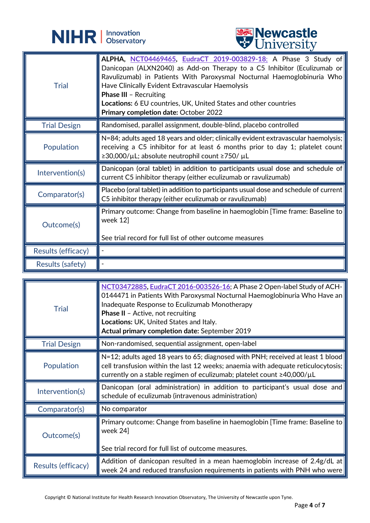



|                     | <b>A</b> OTHACTOIGA                                                                                                                                                                                                                                                                                                                                                                                                   |
|---------------------|-----------------------------------------------------------------------------------------------------------------------------------------------------------------------------------------------------------------------------------------------------------------------------------------------------------------------------------------------------------------------------------------------------------------------|
| <b>Trial</b>        | ALPHA, NCT04469465, EudraCT 2019-003829-18; A Phase 3 Study of<br>Danicopan (ALXN2040) as Add-on Therapy to a C5 Inhibitor (Eculizumab or<br>Ravulizumab) in Patients With Paroxysmal Nocturnal Haemoglobinuria Who<br>Have Clinically Evident Extravascular Haemolysis<br><b>Phase III - Recruiting</b><br>Locations: 6 EU countries, UK, United States and other countries<br>Primary completion date: October 2022 |
| <b>Trial Design</b> | Randomised, parallel assignment, double-blind, placebo controlled                                                                                                                                                                                                                                                                                                                                                     |
| Population          | N=84; adults aged 18 years and older; clinically evident extravascular haemolysis;<br>receiving a C5 inhibitor for at least 6 months prior to day 1; platelet count<br>≥30,000/µL; absolute neutrophil count ≥750/ µL                                                                                                                                                                                                 |
| Intervention(s)     | Danicopan (oral tablet) in addition to participants usual dose and schedule of<br>current C5 inhibitor therapy (either eculizumab or ravulizumab)                                                                                                                                                                                                                                                                     |
| Comparator(s)       | Placebo (oral tablet) in addition to participants usual dose and schedule of current<br>C5 inhibitor therapy (either eculizumab or ravulizumab)                                                                                                                                                                                                                                                                       |
| Outcome(s)          | Primary outcome: Change from baseline in haemoglobin [Time frame: Baseline to  <br>week 12]<br>See trial record for full list of other outcome measures                                                                                                                                                                                                                                                               |
| Results (efficacy)  |                                                                                                                                                                                                                                                                                                                                                                                                                       |
| Results (safety)    |                                                                                                                                                                                                                                                                                                                                                                                                                       |

| <b>Trial</b>        | NCT03472885, EudraCT 2016-003526-16; A Phase 2 Open-label Study of ACH-<br>0144471 in Patients With Paroxysmal Nocturnal Haemoglobinuria Who Have an<br>Inadequate Response to Eculizumab Monotherapy<br><b>Phase II</b> - Active, not recruiting<br>Locations: UK, United States and Italy.<br>Actual primary completion date: September 2019 |
|---------------------|------------------------------------------------------------------------------------------------------------------------------------------------------------------------------------------------------------------------------------------------------------------------------------------------------------------------------------------------|
| <b>Trial Design</b> | Non-randomised, sequential assignment, open-label                                                                                                                                                                                                                                                                                              |
| Population          | N=12; adults aged 18 years to 65; diagnosed with PNH; received at least 1 blood<br>cell transfusion within the last 12 weeks; anaemia with adequate reticulocytosis;<br>currently on a stable regimen of eculizumab; platelet count ≥40,000/µL                                                                                                 |
| Intervention(s)     | Danicopan (oral administration) in addition to participant's usual dose and<br>schedule of eculizumab (intravenous administration)                                                                                                                                                                                                             |
| Comparator(s)       | No comparator                                                                                                                                                                                                                                                                                                                                  |
| Outcome(s)          | Primary outcome: Change from baseline in haemoglobin [Time frame: Baseline to<br>week 24]<br>See trial record for full list of outcome measures.                                                                                                                                                                                               |
| Results (efficacy)  | Addition of danicopan resulted in a mean haemoglobin increase of 2.4g/dL at<br>week 24 and reduced transfusion requirements in patients with PNH who were                                                                                                                                                                                      |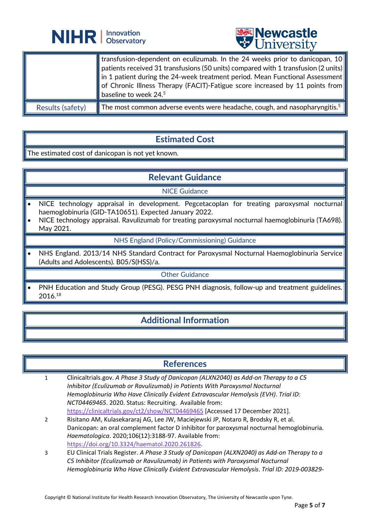



|                  | <b>I</b> transfusion-dependent on eculizumab. In the 24 weeks prior to danicopan, 10<br>$\parallel$ patients received 31 transfusions (50 units) compared with 1 transfusion (2 units)<br>$\parallel$ in 1 patient during the 24-week treatment period. Mean Functional Assessment<br>of Chronic Illness Therapy (FACIT)-Fatigue score increased by 11 points from<br>baseline to week 24. $5$ |
|------------------|------------------------------------------------------------------------------------------------------------------------------------------------------------------------------------------------------------------------------------------------------------------------------------------------------------------------------------------------------------------------------------------------|
| Results (safety) | The most common adverse events were headache, cough, and nasopharyngitis. <sup>5</sup>                                                                                                                                                                                                                                                                                                         |

 $\overline{a}$ 

## **Estimated Cost**

The estimated cost of danicopan is not yet known.

## **Relevant Guidance**

#### NICE Guidance

- NICE technology appraisal in development. Pegcetacoplan for treating paroxysmal nocturnal haemoglobinuria (GID-TA10651). Expected January 2022.
- NICE technology appraisal. Ravulizumab for treating paroxysmal nocturnal haemoglobinuria (TA698). May 2021.

#### NHS England (Policy/Commissioning) Guidance

• NHS England. 2013/14 NHS Standard Contract for Paroxysmal Nocturnal Haemoglobinuria Service (Adults and Adolescents). B05/S(HSS)/a.

#### Other Guidance

PNH Education and Study Group (PESG). PESG PNH diagnosis, follow-up and treatment guidelines. 2016.18

### **Additional Information**

#### **References**

- 1 Clinicaltrials.gov. *A Phase 3 Study of Danicopan (ALXN2040) as Add-on Therapy to a C5 Inhibitor (Eculizumab or Ravulizumab) in Patients With Paroxysmal Nocturnal Hemoglobinuria Who Have Clinically Evident Extravascular Hemolysis (EVH)*. *Trial ID: NCT04469465*. 2020. Status: Recruiting. Available from: <https://clinicaltrials.gov/ct2/show/NCT04469465> [Accessed 17 December 2021].
- 2 Risitano AM, Kulasekararaj AG, Lee JW, Maciejewski JP, Notaro R, Brodsky R, et al. Danicopan: an oral complement factor D inhibitor for paroxysmal nocturnal hemoglobinuria. *Haematologica*. 2020;106(12):3188-97. Available from: [https://doi.org/10.3324/haematol.2020.261826.](https://doi.org/10.3324/haematol.2020.261826)
- 3 EU Clinical Trials Register. *A Phase 3 Study of Danicopan (ALXN2040) as Add-on Therapy to a C5 Inhibitor (Eculizumab or Ravulizumab) in Patients with Paroxysmal Nocturnal Hemoglobinuria Who Have Clinically Evident Extravascular Hemolysis*. *Trial ID: 2019-003829-*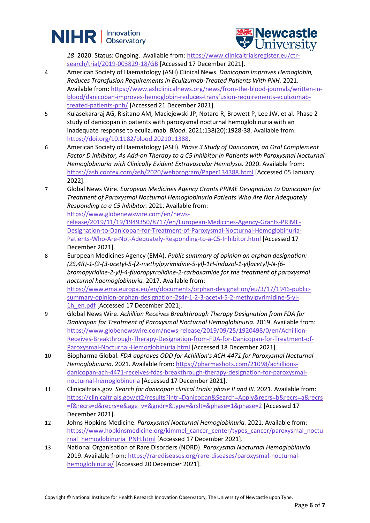# **NIHR** | Innovation



18. 2020. Status: Ongoing. Available from: [https://www.clinicaltrialsregister.eu/ctr](https://www.clinicaltrialsregister.eu/ctr-search/trial/2019-003829-18/GB)[search/trial/2019-003829-18/GB](https://www.clinicaltrialsregister.eu/ctr-search/trial/2019-003829-18/GB) [Accessed 17 December 2021].

- 4 American Society of Haematology (ASH) Clinical News. *Danicopan Improves Hemoglobin, Reduces Transfusion Requirements in Eculizumab-Treated Patients With PNH.* 2021. Available from: [https://www.ashclinicalnews.org/news/from-the-blood-journals/written-in](https://www.ashclinicalnews.org/news/from-the-blood-journals/written-in-blood/danicopan-improves-hemoglobin-reduces-transfusion-requirements-eculizumab-treated-patients-pnh/)[blood/danicopan-improves-hemoglobin-reduces-transfusion-requirements-eculizumab](https://www.ashclinicalnews.org/news/from-the-blood-journals/written-in-blood/danicopan-improves-hemoglobin-reduces-transfusion-requirements-eculizumab-treated-patients-pnh/)[treated-patients-pnh/](https://www.ashclinicalnews.org/news/from-the-blood-journals/written-in-blood/danicopan-improves-hemoglobin-reduces-transfusion-requirements-eculizumab-treated-patients-pnh/) [Accessed 21 December 2021].
- 5 Kulasekararaj AG, Risitano AM, Maciejewski JP, Notaro R, Browett P, Lee JW, et al. Phase 2 study of danicopan in patients with paroxysmal nocturnal hemoglobinuria with an inadequate response to eculizumab. *Blood*. 2021;138(20):1928-38. Available from: [https://doi.org/10.1182/blood.2021011388.](https://doi.org/10.1182/blood.2021011388)
- 6 American Society of Haematology (ASH). *Phase 3 Study of Danicopan, an Oral Complement Factor D Inhibitor, As Add-on Therapy to a C5 Inhibitor in Patients with Paroxysmal Nocturnal Hemoglobinuria with Clinically Evident Extravascular Hemolysis.* 2020. Available from: <https://ash.confex.com/ash/2020/webprogram/Paper134388.html> [Accessed 05 January 2022].
- 7 Global News Wire. *European Medicines Agency Grants PRIME Designation to Danicopan for Treatment of Paroxysmal Nocturnal Hemoglobinuria Patients Who Are Not Adequately Responding to a C5 Inhibitor.* 2021. Available from:

[https://www.globenewswire.com/en/news-](https://www.globenewswire.com/en/news-release/2019/11/19/1949350/8717/en/European-Medicines-Agency-Grants-PRIME-Designation-to-Danicopan-for-Treatment-of-Paroxysmal-Nocturnal-Hemoglobinuria-Patients-Who-Are-Not-Adequately-Responding-to-a-C5-Inhibitor.html)

[release/2019/11/19/1949350/8717/en/European-Medicines-Agency-Grants-PRIME-](https://www.globenewswire.com/en/news-release/2019/11/19/1949350/8717/en/European-Medicines-Agency-Grants-PRIME-Designation-to-Danicopan-for-Treatment-of-Paroxysmal-Nocturnal-Hemoglobinuria-Patients-Who-Are-Not-Adequately-Responding-to-a-C5-Inhibitor.html)[Designation-to-Danicopan-for-Treatment-of-Paroxysmal-Nocturnal-Hemoglobinuria-](https://www.globenewswire.com/en/news-release/2019/11/19/1949350/8717/en/European-Medicines-Agency-Grants-PRIME-Designation-to-Danicopan-for-Treatment-of-Paroxysmal-Nocturnal-Hemoglobinuria-Patients-Who-Are-Not-Adequately-Responding-to-a-C5-Inhibitor.html)[Patients-Who-Are-Not-Adequately-Responding-to-a-C5-Inhibitor.html](https://www.globenewswire.com/en/news-release/2019/11/19/1949350/8717/en/European-Medicines-Agency-Grants-PRIME-Designation-to-Danicopan-for-Treatment-of-Paroxysmal-Nocturnal-Hemoglobinuria-Patients-Who-Are-Not-Adequately-Responding-to-a-C5-Inhibitor.html) [Accessed 17 December 2021].

- 8 European Medicines Agency (EMA). *Public summary of opinion on orphan designation: (2S,4R)-1-(2-(3-acetyl-5-(2-methylpyrimidine-5-yl)-1H-indazol-1-yl)acetyl)-N-(6 bromopyridine-2-yl)-4-fluoropyrrolidine-2-carboxamide for the treatment of paroxysmal nocturnal haemoglobinuria.* 2017. Available from: [https://www.ema.europa.eu/en/documents/orphan-designation/eu/3/17/1946-public](https://www.ema.europa.eu/en/documents/orphan-designation/eu/3/17/1946-public-summary-opinion-orphan-designation-2s4r-1-2-3-acetyl-5-2-methylpyrimidine-5-yl-1h_en.pdf)[summary-opinion-orphan-designation-2s4r-1-2-3-acetyl-5-2-methylpyrimidine-5-yl-](https://www.ema.europa.eu/en/documents/orphan-designation/eu/3/17/1946-public-summary-opinion-orphan-designation-2s4r-1-2-3-acetyl-5-2-methylpyrimidine-5-yl-1h_en.pdf)
	- 1h en.pdf [Accessed 17 December 2021].
- 9 Global News Wire. *Achillion Receives Breakthrough Therapy Designation from FDA for Danicopan for Treatment of Paroxysmal Nocturnal Hemoglobinuria.* 2019. Available from: [https://www.globenewswire.com/news-release/2019/09/25/1920498/0/en/Achillion-](https://www.globenewswire.com/news-release/2019/09/25/1920498/0/en/Achillion-Receives-Breakthrough-Therapy-Designation-from-FDA-for-Danicopan-for-Treatment-of-Paroxysmal-Nocturnal-Hemoglobinuria.html)[Receives-Breakthrough-Therapy-Designation-from-FDA-for-Danicopan-for-Treatment-of-](https://www.globenewswire.com/news-release/2019/09/25/1920498/0/en/Achillion-Receives-Breakthrough-Therapy-Designation-from-FDA-for-Danicopan-for-Treatment-of-Paroxysmal-Nocturnal-Hemoglobinuria.html)[Paroxysmal-Nocturnal-Hemoglobinuria.html](https://www.globenewswire.com/news-release/2019/09/25/1920498/0/en/Achillion-Receives-Breakthrough-Therapy-Designation-from-FDA-for-Danicopan-for-Treatment-of-Paroxysmal-Nocturnal-Hemoglobinuria.html) [Accessed 18 December 2021].
- 10 Biopharma Global. *FDA approves ODD for Achillion's ACH-4471 for Paroxysmal Nocturnal Hemoglobinuria.* 2021. Available from: [https://pharmashots.com/21098/achillions](https://pharmashots.com/21098/achillions-danicopan-ach-4471-receives-fdas-breakthrough-therapy-designation-for-paroxysmal-nocturnal-hemoglobinuria)[danicopan-ach-4471-receives-fdas-breakthrough-therapy-designation-for-paroxysmal](https://pharmashots.com/21098/achillions-danicopan-ach-4471-receives-fdas-breakthrough-therapy-designation-for-paroxysmal-nocturnal-hemoglobinuria)[nocturnal-hemoglobinuria](https://pharmashots.com/21098/achillions-danicopan-ach-4471-receives-fdas-breakthrough-therapy-designation-for-paroxysmal-nocturnal-hemoglobinuria) [Accessed 17 December 2021].
- 11 Clinicaltrials.gov. *Search for danicopan clinical trials: phase II and III.* 2021. Available from: [https://clinicaltrials.gov/ct2/results?intr=Danicopan&Search=Apply&recrs=b&recrs=a&recrs](https://clinicaltrials.gov/ct2/results?intr=Danicopan&Search=Apply&recrs=b&recrs=a&recrs=f&recrs=d&recrs=e&age_v=&gndr=&type=&rslt=&phase=1&phase=2) [=f&recrs=d&recrs=e&age\\_v=&gndr=&type=&rslt=&phase=1&phase=2](https://clinicaltrials.gov/ct2/results?intr=Danicopan&Search=Apply&recrs=b&recrs=a&recrs=f&recrs=d&recrs=e&age_v=&gndr=&type=&rslt=&phase=1&phase=2) [Accessed 17 December 2021].
- 12 Johns Hopkins Medicine. *Paroxysmal Nocturnal Hemoglobinuria.* 2021. Available from: [https://www.hopkinsmedicine.org/kimmel\\_cancer\\_center/types\\_cancer/paroxysmal\\_noctu](https://www.hopkinsmedicine.org/kimmel_cancer_center/types_cancer/paroxysmal_nocturnal_hemoglobinuria_PNH.html) [rnal\\_hemoglobinuria\\_PNH.html](https://www.hopkinsmedicine.org/kimmel_cancer_center/types_cancer/paroxysmal_nocturnal_hemoglobinuria_PNH.html) [Accessed 17 December 2021].
- 13 National Organisation of Rare Disorders (NORD). *Paroxysmal Nocturnal Hemoglobinuria.* 2019. Available from: [https://rarediseases.org/rare-diseases/paroxysmal-nocturnal](https://rarediseases.org/rare-diseases/paroxysmal-nocturnal-hemoglobinuria/)[hemoglobinuria/](https://rarediseases.org/rare-diseases/paroxysmal-nocturnal-hemoglobinuria/) [Accessed 20 December 2021].